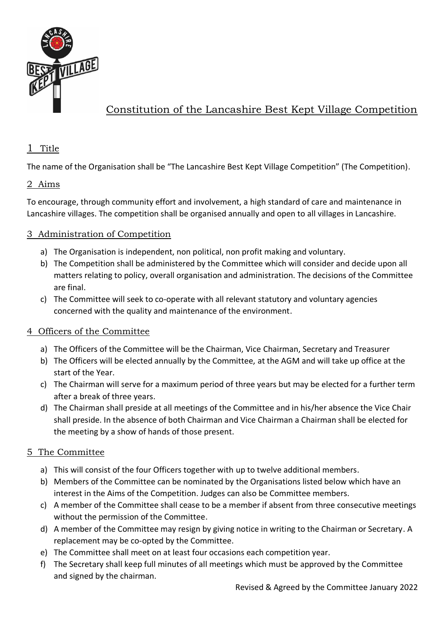

# Constitution of the Lancashire Best Kept Village Competition

# 1 Title

The name of the Organisation shall be "The Lancashire Best Kept Village Competition" (The Competition).

## 2 Aims

To encourage, through community effort and involvement, a high standard of care and maintenance in Lancashire villages. The competition shall be organised annually and open to all villages in Lancashire.

## 3 Administration of Competition

- a) The Organisation is independent, non political, non profit making and voluntary.
- b) The Competition shall be administered by the Committee which will consider and decide upon all matters relating to policy, overall organisation and administration. The decisions of the Committee are final.
- c) The Committee will seek to co-operate with all relevant statutory and voluntary agencies concerned with the quality and maintenance of the environment.

## 4 Officers of the Committee

- a) The Officers of the Committee will be the Chairman, Vice Chairman, Secretary and Treasurer
- b) The Officers will be elected annually by the Committee, at the AGM and will take up office at the start of the Year.
- c) The Chairman will serve for a maximum period of three years but may be elected for a further term after a break of three years.
- d) The Chairman shall preside at all meetings of the Committee and in his/her absence the Vice Chair shall preside. In the absence of both Chairman and Vice Chairman a Chairman shall be elected for the meeting by a show of hands of those present.

## 5 The Committee

- a) This will consist of the four Officers together with up to twelve additional members.
- b) Members of the Committee can be nominated by the Organisations listed below which have an interest in the Aims of the Competition. Judges can also be Committee members.
- c) A member of the Committee shall cease to be a member if absent from three consecutive meetings without the permission of the Committee.
- d) A member of the Committee may resign by giving notice in writing to the Chairman or Secretary. A replacement may be co-opted by the Committee.
- e) The Committee shall meet on at least four occasions each competition year.
- f) The Secretary shall keep full minutes of all meetings which must be approved by the Committee and signed by the chairman.